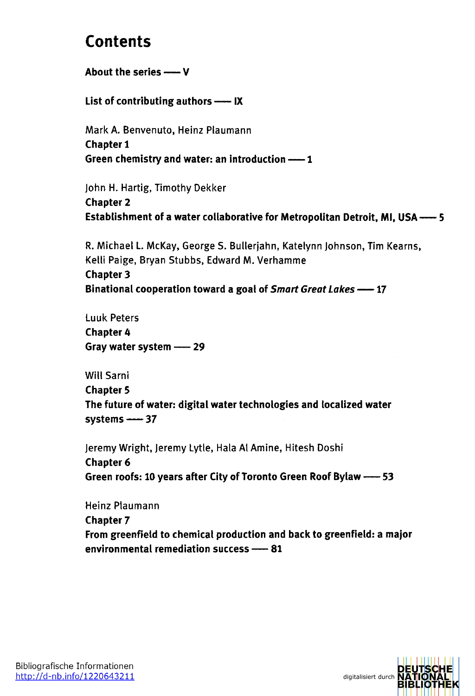## **Contents**

**About the series —<sup>V</sup>**

**List of contributing authors— IX**

Mark A. Benvenuto, Heinz Plaumann **Chapter 1 Green chemistry and water: an introduction —<sup>1</sup>**

John H. Hartig, Timothy Dekker **Chapter 2 Establishment of a water collaborative for Metropolitan Detroit, Ml, USA-----5**

R. Michael L. McKay, George S. Bullerjahn, Katelynn Johnson, Tim Kearns, Kelli Paige, Bryan Stubbs, Edward M. Verhamme **Chapter 3 Binational cooperation toward a goal of** *Smart GreatLakes-----* **17**

Luuk Peters **Chapter 4 Gray water system — <sup>29</sup>**

Will Sami **Chapter 5 The future of water: digital water technologies and localized water systems-----37**

Jeremy Wright, Jeremy Lytle, Hala Al Amine, Hitesh Doshi **Chapter 6 Green roofs: 10 years after City of Toronto Green Roof Bylaw-----53**

Heinz Plaumann **Chapter 7 From greenfield to chemical production and back to greenfield: a major environmental remediation success — <sup>81</sup>**